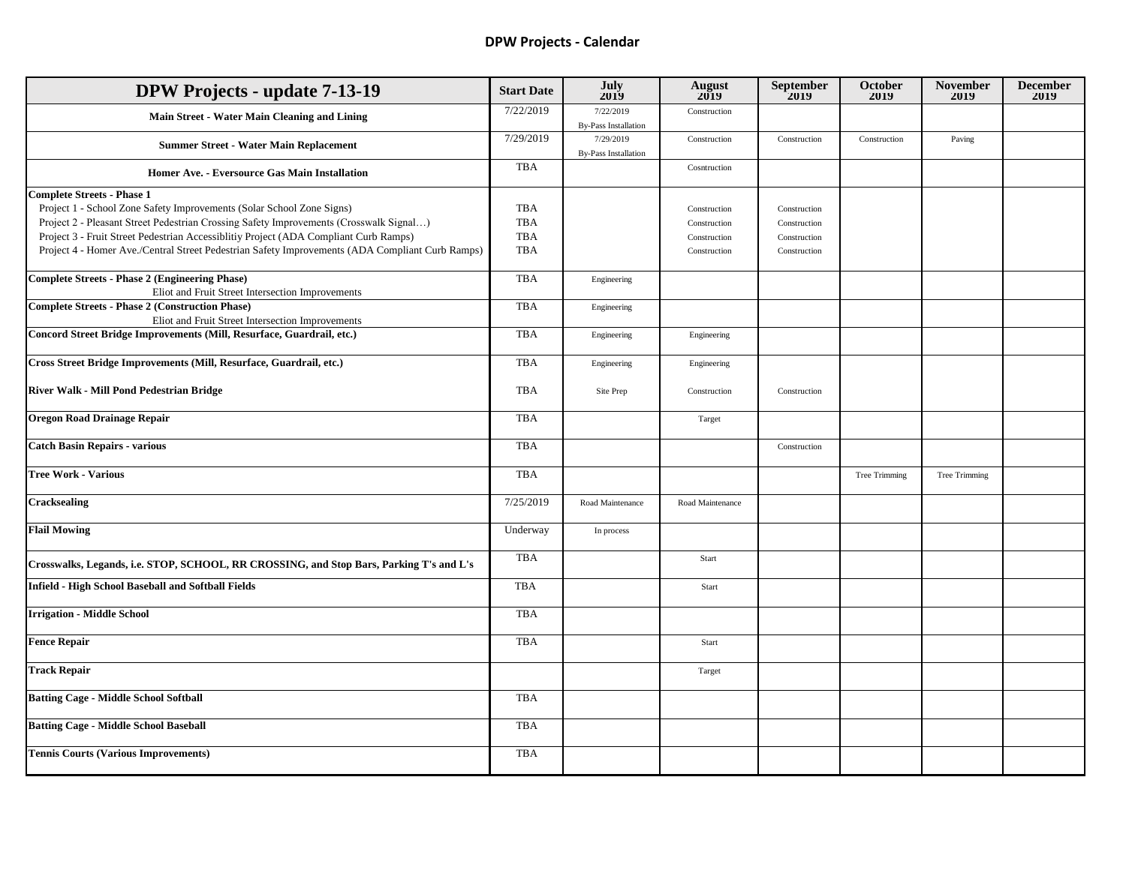## **DPW Projects - Calendar**

| <b>DPW Projects - update 7-13-19</b>                                                            | <b>Start Date</b> | July<br>2019                             | August<br>2019   | September<br>$2019$ | October<br>2019 | <b>November</b><br>2019 | <b>December</b><br>2019 |
|-------------------------------------------------------------------------------------------------|-------------------|------------------------------------------|------------------|---------------------|-----------------|-------------------------|-------------------------|
| Main Street - Water Main Cleaning and Lining                                                    | 7/22/2019         | 7/22/2019<br><b>By-Pass Installation</b> | Construction     |                     |                 |                         |                         |
| <b>Summer Street - Water Main Replacement</b>                                                   | 7/29/2019         | 7/29/2019<br><b>By-Pass Installation</b> | Construction     | Construction        | Construction    | Paving                  |                         |
| Homer Ave. - Eversource Gas Main Installation                                                   | <b>TBA</b>        |                                          | Cosntruction     |                     |                 |                         |                         |
| <b>Complete Streets - Phase 1</b>                                                               |                   |                                          |                  |                     |                 |                         |                         |
| Project 1 - School Zone Safety Improvements (Solar School Zone Signs)                           | <b>TBA</b>        |                                          | Construction     | Construction        |                 |                         |                         |
| Project 2 - Pleasant Street Pedestrian Crossing Safety Improvements (Crosswalk Signal)          | <b>TBA</b>        |                                          | Construction     | Construction        |                 |                         |                         |
| Project 3 - Fruit Street Pedestrian Accessibility Project (ADA Compliant Curb Ramps)            | <b>TBA</b>        |                                          | Construction     | Construction        |                 |                         |                         |
| Project 4 - Homer Ave./Central Street Pedestrian Safety Improvements (ADA Compliant Curb Ramps) | <b>TBA</b>        |                                          | Construction     | Construction        |                 |                         |                         |
| <b>Complete Streets - Phase 2 (Engineering Phase)</b>                                           | <b>TBA</b>        | Engineering                              |                  |                     |                 |                         |                         |
| Eliot and Fruit Street Intersection Improvements                                                |                   |                                          |                  |                     |                 |                         |                         |
| <b>Complete Streets - Phase 2 (Construction Phase)</b>                                          | <b>TBA</b>        | Engineering                              |                  |                     |                 |                         |                         |
| Eliot and Fruit Street Intersection Improvements                                                |                   |                                          |                  |                     |                 |                         |                         |
| Concord Street Bridge Improvements (Mill, Resurface, Guardrail, etc.)                           | <b>TBA</b>        | Engineering                              | Engineering      |                     |                 |                         |                         |
| Cross Street Bridge Improvements (Mill, Resurface, Guardrail, etc.)                             | <b>TBA</b>        | Engineering                              | Engineering      |                     |                 |                         |                         |
|                                                                                                 |                   |                                          |                  |                     |                 |                         |                         |
| River Walk - Mill Pond Pedestrian Bridge                                                        | <b>TBA</b>        | Site Prep                                | Construction     | Construction        |                 |                         |                         |
| <b>Oregon Road Drainage Repair</b>                                                              | <b>TBA</b>        |                                          | Target           |                     |                 |                         |                         |
| <b>Catch Basin Repairs - various</b>                                                            | <b>TBA</b>        |                                          |                  | Construction        |                 |                         |                         |
| <b>Tree Work - Various</b>                                                                      | <b>TBA</b>        |                                          |                  |                     | Tree Trimming   | Tree Trimming           |                         |
| <b>Cracksealing</b>                                                                             | 7/25/2019         | Road Maintenance                         | Road Maintenance |                     |                 |                         |                         |
| <b>Flail Mowing</b>                                                                             | Underway          | In process                               |                  |                     |                 |                         |                         |
| Crosswalks, Legands, i.e. STOP, SCHOOL, RR CROSSING, and Stop Bars, Parking T's and L's         | <b>TBA</b>        |                                          | Start            |                     |                 |                         |                         |
| Infield - High School Baseball and Softball Fields                                              | <b>TBA</b>        |                                          | Start            |                     |                 |                         |                         |
| <b>Irrigation - Middle School</b>                                                               | <b>TBA</b>        |                                          |                  |                     |                 |                         |                         |
| <b>Fence Repair</b>                                                                             | <b>TBA</b>        |                                          | Start            |                     |                 |                         |                         |
| <b>Track Repair</b>                                                                             |                   |                                          | Target           |                     |                 |                         |                         |
| <b>Batting Cage - Middle School Softball</b>                                                    | <b>TBA</b>        |                                          |                  |                     |                 |                         |                         |
| <b>Batting Cage - Middle School Baseball</b>                                                    | <b>TBA</b>        |                                          |                  |                     |                 |                         |                         |
| <b>Tennis Courts (Various Improvements)</b>                                                     | <b>TBA</b>        |                                          |                  |                     |                 |                         |                         |